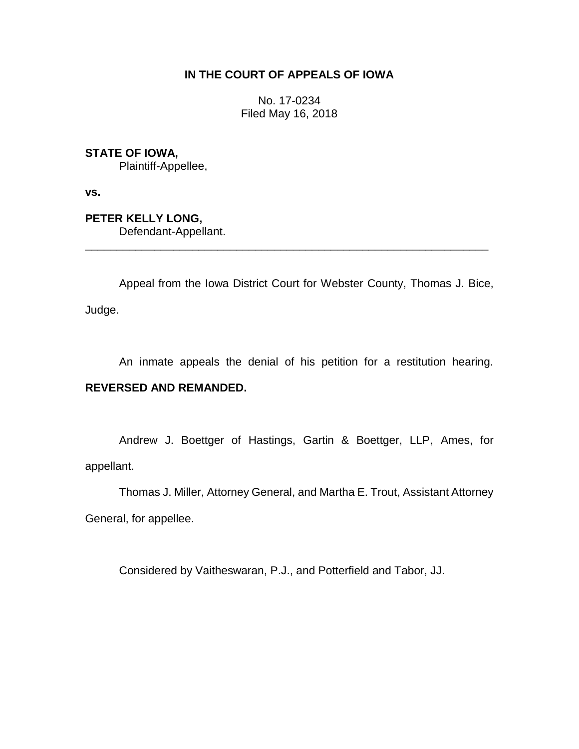## **IN THE COURT OF APPEALS OF IOWA**

No. 17-0234 Filed May 16, 2018

**STATE OF IOWA,**

Plaintiff-Appellee,

**vs.**

**PETER KELLY LONG,**

Defendant-Appellant.

Appeal from the Iowa District Court for Webster County, Thomas J. Bice, Judge.

\_\_\_\_\_\_\_\_\_\_\_\_\_\_\_\_\_\_\_\_\_\_\_\_\_\_\_\_\_\_\_\_\_\_\_\_\_\_\_\_\_\_\_\_\_\_\_\_\_\_\_\_\_\_\_\_\_\_\_\_\_\_\_\_

An inmate appeals the denial of his petition for a restitution hearing.

# **REVERSED AND REMANDED.**

Andrew J. Boettger of Hastings, Gartin & Boettger, LLP, Ames, for appellant.

Thomas J. Miller, Attorney General, and Martha E. Trout, Assistant Attorney General, for appellee.

Considered by Vaitheswaran, P.J., and Potterfield and Tabor, JJ.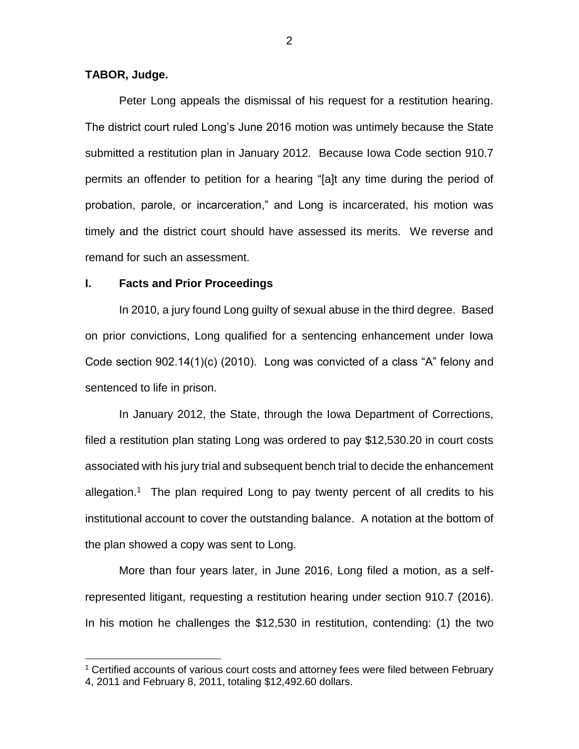### **TABOR, Judge.**

 $\overline{a}$ 

Peter Long appeals the dismissal of his request for a restitution hearing. The district court ruled Long's June 2016 motion was untimely because the State submitted a restitution plan in January 2012. Because Iowa Code section 910.7 permits an offender to petition for a hearing "[a]t any time during the period of probation, parole, or incarceration," and Long is incarcerated, his motion was timely and the district court should have assessed its merits. We reverse and remand for such an assessment.

#### **I. Facts and Prior Proceedings**

In 2010, a jury found Long guilty of sexual abuse in the third degree. Based on prior convictions, Long qualified for a sentencing enhancement under Iowa Code section 902.14(1)(c) (2010). Long was convicted of a class "A" felony and sentenced to life in prison.

In January 2012, the State, through the Iowa Department of Corrections, filed a restitution plan stating Long was ordered to pay \$12,530.20 in court costs associated with his jury trial and subsequent bench trial to decide the enhancement allegation.<sup>1</sup> The plan required Long to pay twenty percent of all credits to his institutional account to cover the outstanding balance. A notation at the bottom of the plan showed a copy was sent to Long.

More than four years later, in June 2016, Long filed a motion, as a selfrepresented litigant, requesting a restitution hearing under section 910.7 (2016). In his motion he challenges the \$12,530 in restitution, contending: (1) the two

<sup>&</sup>lt;sup>1</sup> Certified accounts of various court costs and attorney fees were filed between February 4, 2011 and February 8, 2011, totaling \$12,492.60 dollars.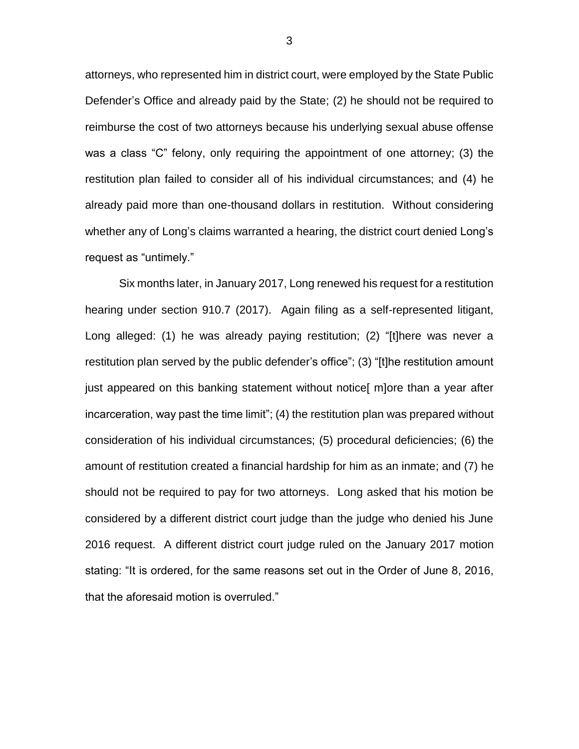attorneys, who represented him in district court, were employed by the State Public Defender's Office and already paid by the State; (2) he should not be required to reimburse the cost of two attorneys because his underlying sexual abuse offense was a class "C" felony, only requiring the appointment of one attorney; (3) the restitution plan failed to consider all of his individual circumstances; and (4) he already paid more than one-thousand dollars in restitution. Without considering whether any of Long's claims warranted a hearing, the district court denied Long's request as "untimely."

Six months later, in January 2017, Long renewed his request for a restitution hearing under section 910.7 (2017). Again filing as a self-represented litigant, Long alleged: (1) he was already paying restitution; (2) "[t]here was never a restitution plan served by the public defender's office"; (3) "[t]he restitution amount just appeared on this banking statement without notice[ m]ore than a year after incarceration, way past the time limit"; (4) the restitution plan was prepared without consideration of his individual circumstances; (5) procedural deficiencies; (6) the amount of restitution created a financial hardship for him as an inmate; and (7) he should not be required to pay for two attorneys. Long asked that his motion be considered by a different district court judge than the judge who denied his June 2016 request. A different district court judge ruled on the January 2017 motion stating: "It is ordered, for the same reasons set out in the Order of June 8, 2016, that the aforesaid motion is overruled."

3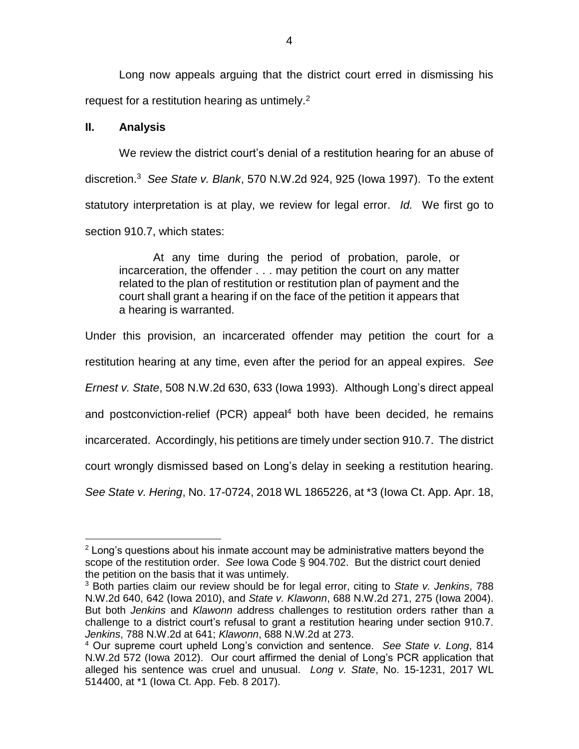Long now appeals arguing that the district court erred in dismissing his request for a restitution hearing as untimely.<sup>2</sup>

### **II. Analysis**

We review the district court's denial of a restitution hearing for an abuse of discretion.<sup>3</sup> *See State v. Blank*, 570 N.W.2d 924, 925 (Iowa 1997). To the extent statutory interpretation is at play, we review for legal error. *Id.* We first go to section 910.7, which states:

At any time during the period of probation, parole, or incarceration, the offender . . . may petition the court on any matter related to the plan of restitution or restitution plan of payment and the court shall grant a hearing if on the face of the petition it appears that a hearing is warranted.

Under this provision, an incarcerated offender may petition the court for a restitution hearing at any time, even after the period for an appeal expires. *See Ernest v. State*, 508 N.W.2d 630, 633 (Iowa 1993). Although Long's direct appeal and postconviction-relief (PCR) appeal<sup>4</sup> both have been decided, he remains incarcerated. Accordingly, his petitions are timely under section 910.7. The district court wrongly dismissed based on Long's delay in seeking a restitution hearing. *See State v. Hering*, No. 17-0724, 2018 WL 1865226, at \*3 (Iowa Ct. App. Apr. 18,

 $\overline{a}$  $2$  Long's questions about his inmate account may be administrative matters beyond the scope of the restitution order. *See* Iowa Code § 904.702. But the district court denied the petition on the basis that it was untimely.

<sup>3</sup> Both parties claim our review should be for legal error, citing to *State v. Jenkins*, 788 N.W.2d 640, 642 (Iowa 2010), and *State v. Klawonn*, 688 N.W.2d 271, 275 (Iowa 2004). But both *Jenkins* and *Klawonn* address challenges to restitution orders rather than a challenge to a district court's refusal to grant a restitution hearing under section 910.7. *Jenkins*, 788 N.W.2d at 641; *Klawonn*, 688 N.W.2d at 273.

<sup>4</sup> Our supreme court upheld Long's conviction and sentence. *See State v. Long*, 814 N.W.2d 572 (Iowa 2012). Our court affirmed the denial of Long's PCR application that alleged his sentence was cruel and unusual. *Long v. State*, No. 15-1231, 2017 WL 514400, at \*1 (Iowa Ct. App. Feb. 8 2017).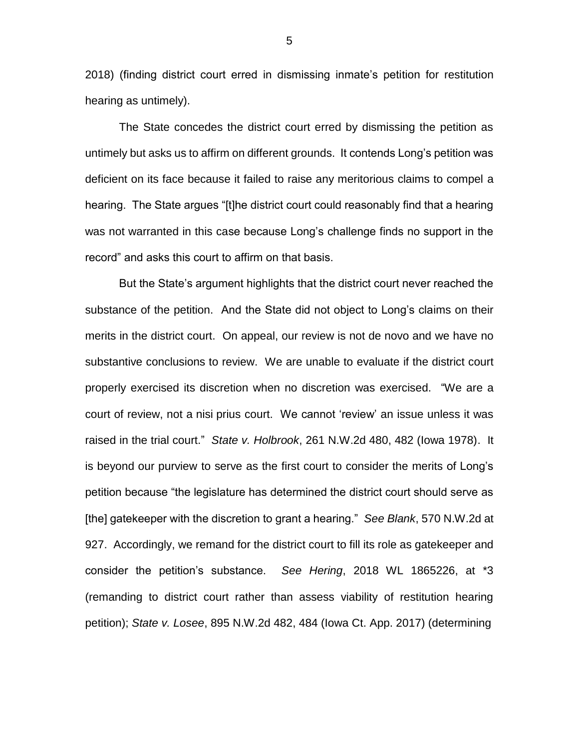2018) (finding district court erred in dismissing inmate's petition for restitution hearing as untimely).

The State concedes the district court erred by dismissing the petition as untimely but asks us to affirm on different grounds. It contends Long's petition was deficient on its face because it failed to raise any meritorious claims to compel a hearing. The State argues "[t]he district court could reasonably find that a hearing was not warranted in this case because Long's challenge finds no support in the record" and asks this court to affirm on that basis.

But the State's argument highlights that the district court never reached the substance of the petition. And the State did not object to Long's claims on their merits in the district court. On appeal, our review is not de novo and we have no substantive conclusions to review. We are unable to evaluate if the district court properly exercised its discretion when no discretion was exercised. "We are a court of review, not a nisi prius court. We cannot 'review' an issue unless it was raised in the trial court." *State v. Holbrook*, 261 N.W.2d 480, 482 (Iowa 1978). It is beyond our purview to serve as the first court to consider the merits of Long's petition because "the legislature has determined the district court should serve as [the] gatekeeper with the discretion to grant a hearing." *See Blank*, 570 N.W.2d at 927. Accordingly, we remand for the district court to fill its role as gatekeeper and consider the petition's substance. *See Hering*, 2018 WL 1865226, at \*3 (remanding to district court rather than assess viability of restitution hearing petition); *State v. Losee*, 895 N.W.2d 482, 484 (Iowa Ct. App. 2017) (determining

5